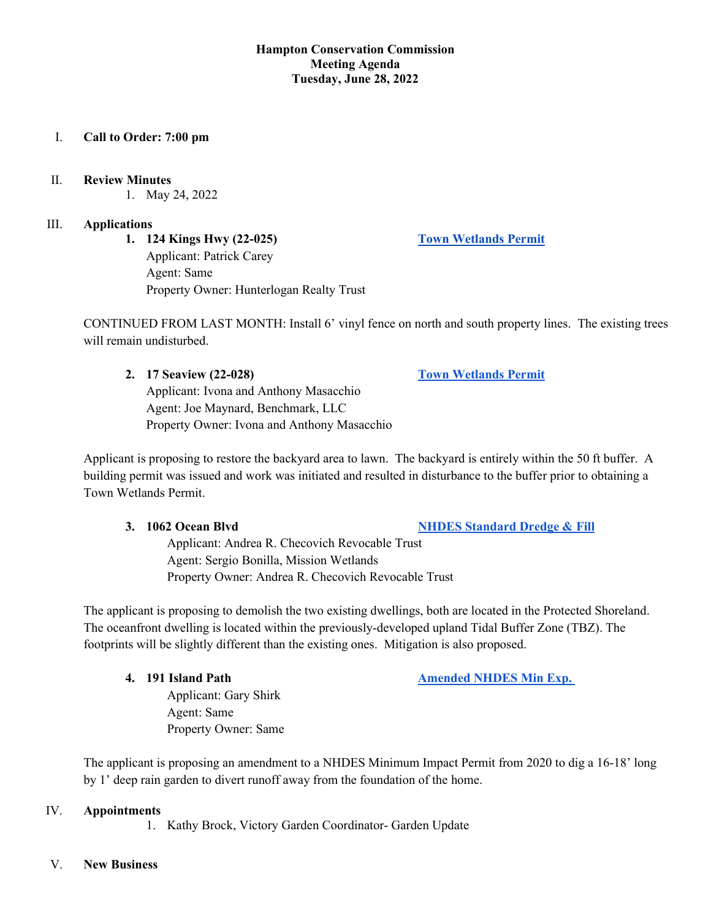## **Hampton Conservation Commission Meeting Agenda Tuesday, June 28, 2022**

# I. **Call to Order: 7:00 pm**

## II. **Review Minutes**

1. May 24, 2022

## III. **Applications**

**1. 124 Kings Hwy (22-025) [Town Wetlands Permit](https://www.hamptonnh.gov/DocumentCenter/View/5266/124-kings-hwy-2022-town-wetlands-permit)** Applicant: Patrick Carey Agent: Same Property Owner: Hunterlogan Realty Trust

CONTINUED FROM LAST MONTH: Install 6' vinyl fence on north and south property lines. The existing trees will remain undisturbed.

## **2. 17 Seaview (22-028) [Town Wetlands Permit](https://www.hamptonnh.gov/DocumentCenter/View/5402/17-seaview-town-wetlands-permit)**

Applicant: Ivona and Anthony Masacchio Agent: Joe Maynard, Benchmark, LLC Property Owner: Ivona and Anthony Masacchio

Applicant is proposing to restore the backyard area to lawn. The backyard is entirely within the 50 ft buffer. A building permit was issued and work was initiated and resulted in disturbance to the buffer prior to obtaining a Town Wetlands Permit.

## **3. 1062 Ocean Blvd [NHDES Standard Dredge & Fill](https://www.hamptonnh.gov/DocumentCenter/View/5399/22-013-Checovich-Hampton-Final-DFA-Application-Package-20220620)**

Applicant: Andrea R. Checovich Revocable Trust Agent: Sergio Bonilla, Mission Wetlands Property Owner: Andrea R. Checovich Revocable Trust

The applicant is proposing to demolish the two existing dwellings, both are located in the Protected Shoreland. The oceanfront dwelling is located within the previously-developed upland Tidal Buffer Zone (TBZ). The footprints will be slightly different than the existing ones. Mitigation is also proposed.

**4. 191 Island Path Amended NHDES Min Exp.** *Amended NHDES Min Exp.* 

Applicant: Gary Shirk Agent: Same Property Owner: Same

The applicant is proposing an amendment to a NHDES Minimum Impact Permit from 2020 to dig a 16-18' long by 1' deep rain garden to divert runoff away from the foundation of the home.

# IV. **Appointments**

1. Kathy Brock, Victory Garden Coordinator- Garden Update